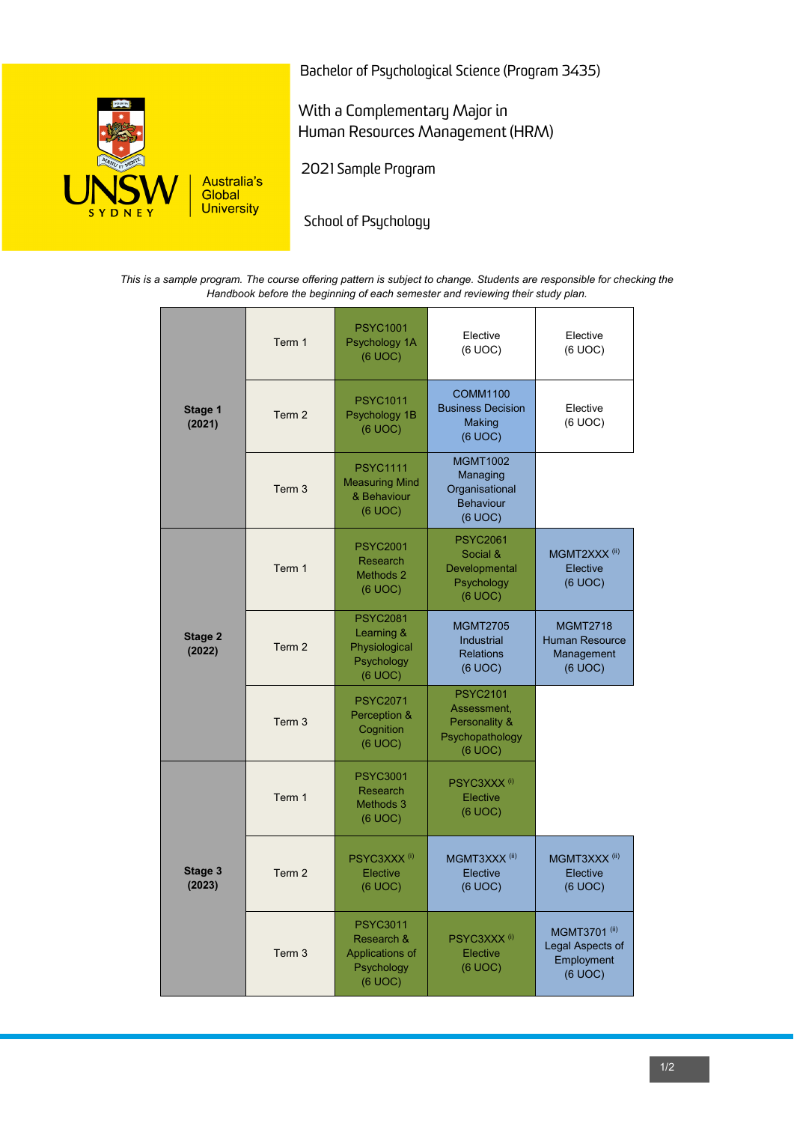

Bachelor of Psychological Science (Program 3435)

With a Complementary Major in Human Resources Management (HRM)

2021 Sample Program

School of Psychology

*This is a sample program. The course offering pattern is subject to change. Students are responsible for checking the Handbook before the beginning of each semester and reviewing their study plan.*

| Stage 1<br>(2021) | Term 1            | <b>PSYC1001</b><br>Psychology 1A<br>(6 UOC)                               | Elective<br>(6 UOC)                                                           | Elective<br>(6 UOC)                                               |
|-------------------|-------------------|---------------------------------------------------------------------------|-------------------------------------------------------------------------------|-------------------------------------------------------------------|
|                   | Term 2            | <b>PSYC1011</b><br>Psychology 1B<br>(6 UOC)                               | <b>COMM1100</b><br><b>Business Decision</b><br>Making<br>(6 UOC)              | Elective<br>(6 UOC)                                               |
|                   | Term 3            | <b>PSYC1111</b><br><b>Measuring Mind</b><br>& Behaviour<br>(6 UOC)        | <b>MGMT1002</b><br>Managing<br>Organisational<br><b>Behaviour</b><br>(6 UOC)  |                                                                   |
| Stage 2<br>(2022) | Term 1            | <b>PSYC2001</b><br><b>Research</b><br>Methods 2<br>(6 UOC)                | <b>PSYC2061</b><br>Social &<br>Developmental<br>Psychology<br>(6 UOC)         | MGMT2XXX <sup>(ii)</sup><br>Elective<br>(6 UOC)                   |
|                   | Term 2            | <b>PSYC2081</b><br>Learning &<br>Physiological<br>Psychology<br>(6 UOC)   | <b>MGMT2705</b><br><b>Industrial</b><br><b>Relations</b><br>(6 UOC)           | <b>MGMT2718</b><br><b>Human Resource</b><br>Management<br>(6 UOC) |
|                   | Term 3            | <b>PSYC2071</b><br>Perception &<br>Cognition<br>(6 UOC)                   | <b>PSYC2101</b><br>Assessment,<br>Personality &<br>Psychopathology<br>(6 UOC) |                                                                   |
| Stage 3<br>(2023) | Term 1            | <b>PSYC3001</b><br><b>Research</b><br>Methods 3<br>(6 UOC)                | PSYC3XXX <sup>(i)</sup><br>Elective<br>(6 UOC)                                |                                                                   |
|                   | Term 2            | PSYC3XXX <sup>(i)</sup><br>Elective<br>(6 UOC)                            | MGMT3XXX <sup>(ii)</sup><br>Elective<br>(6 UOC)                               | MGMT3XXX <sup>(ii)</sup><br>Elective<br>(6 UOC)                   |
|                   | Term <sub>3</sub> | <b>PSYC3011</b><br>Research &<br>Applications of<br>Psychology<br>(6 UOC) | PSYC3XXX <sup>(i)</sup><br>Elective<br>(6 UOC)                                | MGMT3701 (ii)<br>Legal Aspects of<br>Employment<br>(6 UOC)        |